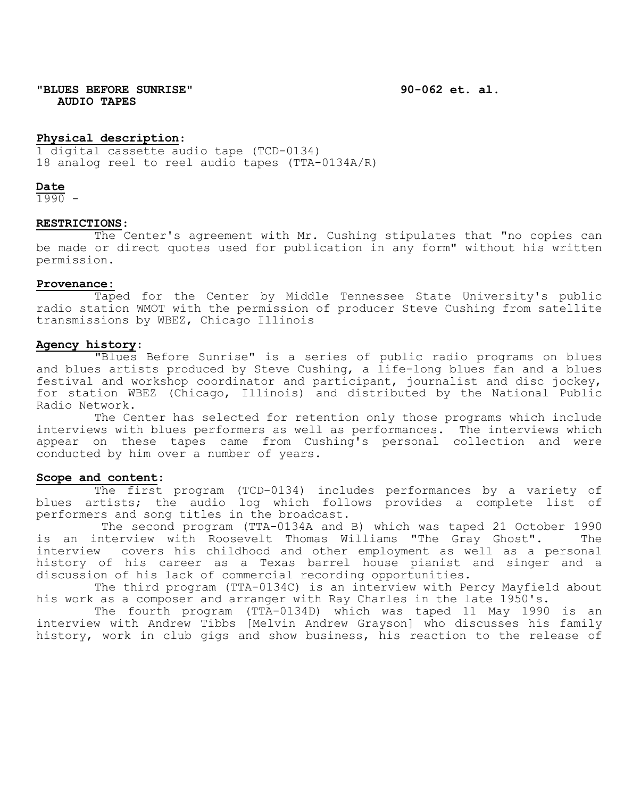**"BLUES BEFORE SUNRISE" 90-062 et. al. AUDIO TAPES**

## **Physical description**:

1 digital cassette audio tape (TCD-0134) 18 analog reel to reel audio tapes (TTA-0134A/R)

**Date**

 $1990 -$ 

# **RESTRICTIONS**:

The Center's agreement with Mr. Cushing stipulates that "no copies can be made or direct quotes used for publication in any form" without his written permission.

### **Provenance:**

Taped for the Center by Middle Tennessee State University's public radio station WMOT with the permission of producer Steve Cushing from satellite transmissions by WBEZ, Chicago Illinois

### **Agency history**:

"Blues Before Sunrise" is a series of public radio programs on blues and blues artists produced by Steve Cushing, a life-long blues fan and a blues festival and workshop coordinator and participant, journalist and disc jockey, for station WBEZ (Chicago, Illinois) and distributed by the National Public Radio Network.

The Center has selected for retention only those programs which include interviews with blues performers as well as performances. The interviews which appear on these tapes came from Cushing's personal collection and were conducted by him over a number of years.

### **Scope and content**:

The first program (TCD-0134) includes performances by a variety of blues artists; the audio log which follows provides a complete list of performers and song titles in the broadcast.

The second program (TTA-0134A and B) which was taped 21 October 1990<br>Iterview with Roosevelt Thomas Williams "The Gray Ghost". The is an interview with Roosevelt Thomas Williams "The Gray Ghost". interview covers his childhood and other employment as well as a personal history of his career as a Texas barrel house pianist and singer and a discussion of his lack of commercial recording opportunities.

The third program (TTA-0134C) is an interview with Percy Mayfield about his work as a composer and arranger with Ray Charles in the late 1950's.

The fourth program (TTA-0134D) which was taped 11 May 1990 is an interview with Andrew Tibbs [Melvin Andrew Grayson] who discusses his family history, work in club gigs and show business, his reaction to the release of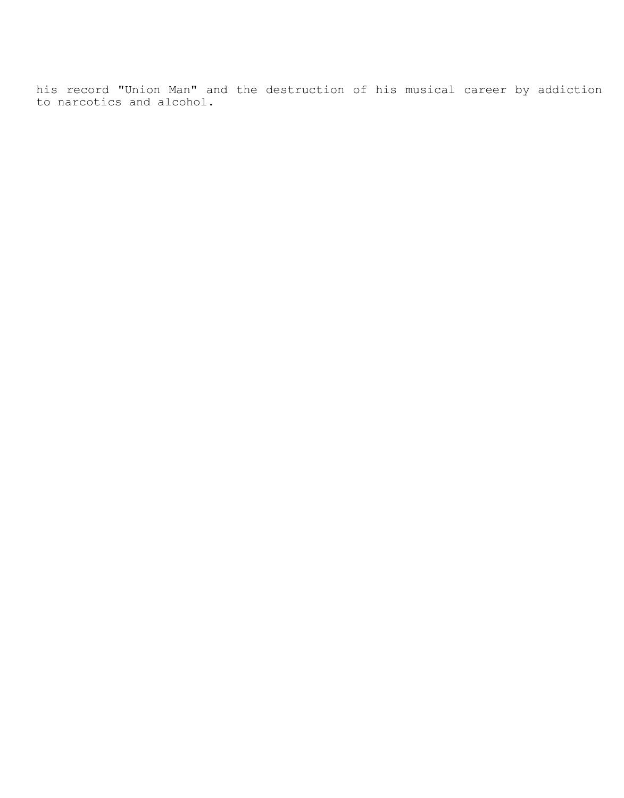his record "Union Man" and the destruction of his musical career by addiction to narcotics and alcohol.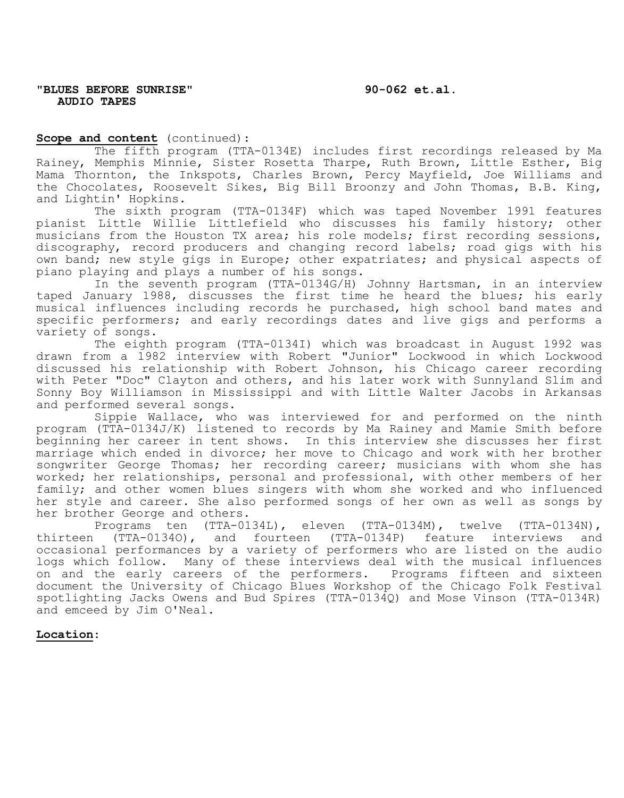# **Scope and content** (continued):

The fifth program (TTA-0134E) includes first recordings released by Ma Rainey, Memphis Minnie, Sister Rosetta Tharpe, Ruth Brown, Little Esther, Big Mama Thornton, the Inkspots, Charles Brown, Percy Mayfield, Joe Williams and the Chocolates, Roosevelt Sikes, Big Bill Broonzy and John Thomas, B.B. King, and Lightin' Hopkins.

The sixth program (TTA-0134F) which was taped November 1991 features pianist Little Willie Littlefield who discusses his family history; other musicians from the Houston TX area; his role models; first recording sessions, discography, record producers and changing record labels; road gigs with his own band; new style gigs in Europe; other expatriates; and physical aspects of piano playing and plays a number of his songs.

In the seventh program (TTA-0134G/H) Johnny Hartsman, in an interview taped January 1988, discusses the first time he heard the blues; his early musical influences including records he purchased, high school band mates and specific performers; and early recordings dates and live gigs and performs a variety of songs.

The eighth program (TTA-0134I) which was broadcast in August 1992 was drawn from a 1982 interview with Robert "Junior" Lockwood in which Lockwood discussed his relationship with Robert Johnson, his Chicago career recording with Peter "Doc" Clayton and others, and his later work with Sunnyland Slim and Sonny Boy Williamson in Mississippi and with Little Walter Jacobs in Arkansas and performed several songs.

Sippie Wallace, who was interviewed for and performed on the ninth program (TTA-0134J/K) listened to records by Ma Rainey and Mamie Smith before beginning her career in tent shows. In this interview she discusses her first marriage which ended in divorce; her move to Chicago and work with her brother songwriter George Thomas; her recording career; musicians with whom she has worked; her relationships, personal and professional, with other members of her family; and other women blues singers with whom she worked and who influenced her style and career. She also performed songs of her own as well as songs by her brother George and others.

Programs ten (TTA-0134L), eleven (TTA-0134M), twelve (TTA-0134N), (TTA-01340), and fourteen (TTA-0134P) feature interviews and thirteen (TTA-01340), and fourteen (TTA-0134P) feature interviews occasional performances by a variety of performers who are listed on the audio logs which follow. Many of these interviews deal with the musical influences on and the early careers of the performers. Programs fifteen and sixteen document the University of Chicago Blues Workshop of the Chicago Folk Festival spotlighting Jacks Owens and Bud Spires (TTA-0134Q) and Mose Vinson (TTA-0134R) and emceed by Jim O'Neal.

# **Location**: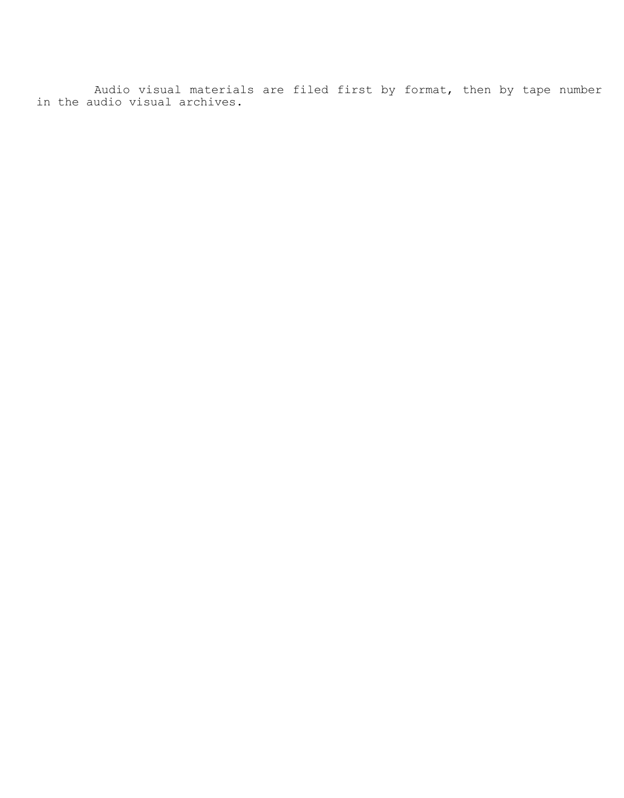Audio visual materials are filed first by format, then by tape number in the audio visual archives.